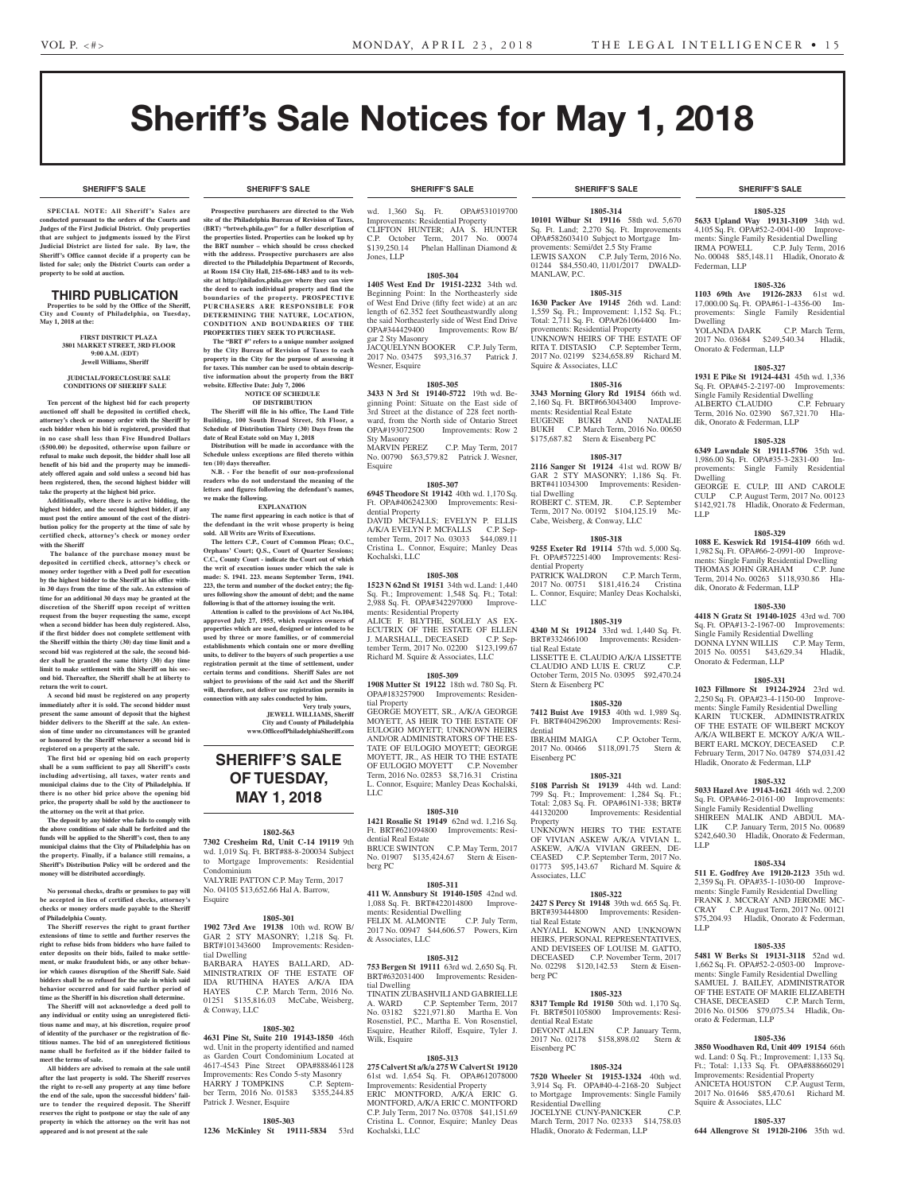**SHERIFF'S SALE SHERIFF'S SALE SHERIFF'S SALE SHERIFF'S SALE SHERIFF'S SALE**

# Sheriff's Sale Notices for May 1, 2018

#### **SHERIFF'S SALE SHERIFF'S SALE SHERIFF'S SALE SHERIFF'S SALE SHERIFF'S SALE**

**SPECIAL NOTE: All Sheriff 's Sales are conducted pursuant to the orders of the Courts and Judges of the First Judicial District. Only properties that are subject to judgments issued by the First Judicial District are listed for sale. By law, the Sheriff's Office cannot decide if a property can be listed for sale; only the District Courts can order a property to be sold at auction.** 

#### THIRD PUBLICATION

**Properties to be sold by the Office of the Sheriff, City and County of Philadelphia, on Tuesday, May 1, 2018 at the:** 

> **FIRST DISTRICT PLAZA 3801 MARKET STREET, 3RD FLOOR 9:00 A.M. (EDT) Jewell Williams, Sheriff**

#### **JUDICIAL/FORECLOSURE SALE CONDITIONS OF SHERIFF SALE**

**Ten percent of the highest bid for each property auctioned off shall be deposited in certified check, attorney's check or money order with the Sheriff by each bidder when his bid is registered, provided that in no case shall less than Five Hundred Dollars (\$500.00) be deposited, otherwise upon failure or refusal to make such deposit, the bidder shall lose all benefit of his bid and the property may be immediately offered again and sold unless a second bid has been registered, then, the second highest bidder will take the property at the highest bid price.**

**Additionally, where there is active bidding, the highest bidder, and the second highest bidder, if any must post the entire amount of the cost of the distribution policy for the property at the time of sale by certified check, attorney's check or money order with the Sheriff**

 **The balance of the purchase money must be deposited in certified check, attorney's check or money order together with a Deed poll for execution by the highest bidder to the Sheriff at his office within 30 days from the time of the sale. An extension of time for an additional 30 days may be granted at the discretion of the Sheriff upon receipt of written request from the buyer requesting the same, except when a second bidder has been duly registered. Also, if the first bidder does not complete settlement with the Sheriff within the thirty (30) day time limit and a second bid was registered at the sale, the second bidder shall be granted the same thirty (30) day time limit to make settlement with the Sheriff on his second bid. Thereafter, the Sheriff shall be at liberty to return the writ to court.**

**A second bid must be registered on any property immediately after it is sold. The second bidder must present the same amount of deposit that the highest bidder delivers to the Sheriff at the sale. An extension of time under no circumstances will be granted or honored by the Sheriff whenever a second bid is registered on a property at the sale.** 

**The first bid or opening bid on each property shall be a sum sufficient to pay all Sheriff's costs including advertising, all taxes, water rents and municipal claims due to the City of Philadelphia. If there is no other bid price above the opening bid price, the property shall be sold by the auctioneer to the attorney on the writ at that price.**

**The deposit by any bidder who fails to comply with the above conditions of sale shall be forfeited and the funds will be applied to the Sheriff's cost, then to any municipal claims that the City of Philadelphia has on the property. Finally, if a balance still remains, a Sheriff's Distribution Policy will be ordered and the money will be distributed accordingly.**

**No personal checks, drafts or promises to pay will be accepted in lieu of certified checks, attorney's checks or money orders made payable to the Sheriff of Philadelphia County.**

**The Sheriff reserves the right to grant further extensions of time to settle and further reserves the right to refuse bids from bidders who have failed to enter deposits on their bids, failed to make settlement, or make fraudulent bids, or any other behavior which causes disruption of the Sheriff Sale. Said bidders shall be so refused for the sale in which said behavior occurred and for said further period of time as the Sheriff in his discretion shall determine.**

**The Sheriff will not acknowledge a deed poll to any individual or entity using an unregistered fictitious name and may, at his discretion, require proof of identity of the purchaser or the registration of fictitious names. The bid of an unregistered fictitious name shall be forfeited as if the bidder failed to meet the terms of sale.**

**All bidders are advised to remain at the sale until after the last property is sold. The Sheriff reserves the right to re-sell any property at any time before the end of the sale, upon the successful bidders' failure to tender the required deposit. The Sheriff reserves the right to postpone or stay the sale of any property in which the attorney on the writ has not appeared and is not present at the sale**

**Prospective purchasers are directed to the Web site of the Philadelphia Bureau of Revision of Taxes, (BRT) "brtweb.phila.gov" for a fuller description of the properties listed. Properties can be looked up by the BRT number – which should be cross checked with the address. Prospective purchasers are also directed to the Philadelphia Department of Records, at Room 154 City Hall, 215-686-1483 and to its website at http://philadox.phila.gov where they can view the deed to each individual property and find the boundaries of the property. PROSPECTIVE PURCHASERS ARE RESPONSIBLE FOR DETERMINING THE NATURE, LOCATION, CONDITION AND BOUNDARIES OF THE PROPERTIES THEY SEEK TO PURCHASE.**

The "BRT #" refers to a unique number assigned **by the City Bureau of Revision of Taxes to each property in the City for the purpose of assessing it for taxes. This number can be used to obtain descriptive information about the property from the BRT website. Effective Date: July 7, 2006 NOTICE OF SCHEDULE** 

#### **OF DISTRIBUTION**

**The Sheriff will file in his office, The Land Title Building, 100 South Broad Street, 5th Floor, a Schedule of Distribution Thirty (30) Days from the date of Real Estate sold on May 1, 2018**

**Distribution will be made in accordance with the Schedule unless exceptions are filed thereto within ten (10) days thereafter.**

**N.B. - For the benefit of our non-professional readers who do not understand the meaning of the letters and figures following the defendant's names, we make the following.**

#### **EXPLANATION**

**The name first appearing in each notice is that of the defendant in the writ whose property is being sold. All Writs are Writs of Executions.**

**The letters C.P., Court of Common Pleas; O.C., Orphans' Court; Q.S., Court of Quarter Sessions; C.C., County Court - indicate the Court out of which the writ of execution issues under which the sale is made: S. 1941. 223. means September Term, 1941. 223, the term and number of the docket entry; the figures following show the amount of debt; and the name following is that of the attorney issuing the writ.**

**Attention is called to the provisions of Act No.104, approved July 27, 1955, which requires owners of properties which are used, designed or intended to be used by three or more families, or of commercial establishments which contain one or more dwelling units, to deliver to the buyers of such properties a use registration permit at the time of settlement, under**  certain terms and conditions. Sheriff Sales are no **subject to provisions of the said Act and the Sheriff will, therefore, not deliver use registration permits in connection with any sales conducted by him.**

**Very truly yours, JEWELL WILLIAMS, Sheriff**

**City and County of Philadelphia www.OfficeofPhiladelphiaSheriff.com**

# **SHERIFF'S SALE OF TUESDAY, MAY 1, 2018**

#### **1802-563**

**7302 Cresheim Rd, Unit C-14 19119** 9th wd. 1,019 Sq. Ft. BRT#88-8-200034 Subject to Mortgage Improvements: Residential

Condominium VALYRIE PATTON C.P. May Term, 2017 No. 04105 \$13,652.66 Hal A. Barrow,

Esquire

#### **1805-301**

**1902 73rd Ave 19138** 10th wd. ROW B/ GAR 2 STY MASONRY; 1,218 Sq. Ft. BRT#101343600 Improvements: Residential Dwelling HAYES BALLARD, AD-MINISTRATRIX OF THE ESTATE OF IDA RUTHINA HAYES A/K/A IDA HAYES C.P. March Term, 2016 No. 01251 \$135,816.03 McCabe, Weisberg, & Conway, LLC

#### **1805-302**

**4631 Pine St, Suite 210 19143-1850** 46th wd. Unit in the property identified and named as Garden Court Condominium Located at 4617-4543 Pine Street OPA#888461128 Improvements: Res Condo 5-sty Masonry HARRY J TOMPKINS C.P. September Term, 2016 No. 01583 \$355,244.85 Patrick J. Wesner, Esquire

#### **1805-303**

**1236 McKinley St 19111-5834** 53rd

wd. 1,360 Sq. Ft. OPA#531019700 Improvements: Residential Property CLIFTON HUNTER; AJA S. HUNTER C.P. October Term, 2017 No. 00074 \$139,250.14 Phelan Hallinan Diamond & Jones, LLP

#### **1805-304**

**1405 West End Dr 19151-2232** 34th wd. Beginning Point: In the Northeasterly side of West End Drive (fifty feet wide) at an arc length of 62.352 feet Southeastwardly along the said Northeasterly side of West End Drive OPA#344429400 Improvements: Row B/ gar 2 Sty Masonry JACQUELYNN BOOKER C.P. July Term,

2017 No. 03475 \$93,316.37 Patrick J. Wesner, Esquire

#### **1805-305**

**3433 N 3rd St 19140-5722** 19th wd. Beginning Point: Situate on the East side of 3rd Street at the distance of 228 feet northward, from the North side of Ontario Street<br>OPA#193072500 Improvements: Row 2 Improvements: Row 2 Sty Masonry<br>MARVIN PEREZ

C.P. May Term, 2017 No. 00790 \$63,579.82 Patrick J. Wesner, Esquire

#### **1805-307**

**6945 Theodore St 19142** 40th wd. 1,170 Sq. Ft. OPA#406242300 Improvements: Residential Property

DAVID MCFALLS; EVELYN P. ELLIS A/K/A EVELYN P. MCFALLS C.P. September Term, 2017 No. 03033 \$44,089.11 Cristina L. Connor, Esquire; Manley Deas Kochalski, LLC

#### **1805-308**

**1523 N 62nd St 19151** 34th wd. Land: 1,440 Sq. Ft.; Improvement: 1,548 Sq. Ft.; Total: 2,988 Sq. Ft. OPA#342297000 Improvements: Residential Property ALICE F. BLYTHE, SOLELY AS EX-ECUTRIX OF THE ESTATE OF ELLEN J. MARSHALL, DECEASED C.P. September Term, 2017 No. 02200 \$123,199.67

#### **1805-309**

Richard M. Squire & Associates, LLC

**1908 Mutter St 19122** 18th wd. 780 Sq. Ft. OPA#183257900 Improvements: Residential Property

GEORGE MOYETT, SR., A/K/A GEORGE MOYETT, AS HEIR TO THE ESTATE OF EULOGIO MOYETT; UNKNOWN HEIRS AND/OR ADMINISTRATORS OF THE ES-TATE OF EULOGIO MOYETT; GEORGE MOYETT, JR., AS HEIR TO THE ESTATE OF EULOGIO MOYETT C.P. November Term, 2016 No. 02853 \$8,716.31 Cristina L. Connor, Esquire; Manley Deas Kochalski, LLC

#### **1805-310**

**1421 Rosalie St 19149** 62nd wd. 1,216 Sq. Ft. BRT#621094800 Improvements: Residential Real Estate BRUCE SWINTON C.P. May Term, 2017 No. 01907 \$135,424.67 Stern & Eisenberg PC

#### **1805-311**

**411 W. Annsbury St 19140-1505** 42nd wd. 1,088 Sq. Ft. BRT#422014800 Improvements: Residential Dwelling FELIX M. ALMONTE C.P. July Term, 2017 No. 00947 \$44,606.57 Powers, Kirn & Associates, LLC

#### **1805-312**

**753 Bergen St 19111** 63rd wd. 2,650 Sq. Ft. BRT#632031400 Improvements: Residential Dwelling

TINATIN ZUBASHVILI AND GABRIELLE A. WARD C.P. September Term, 2017 No. 03182 \$221,971.80 Martha E. Von Rosenstiel, P.C., Martha E. Von Rosenstiel, Esquire, Heather Riloff, Esquire, Tyler J. Wilk, Esquire

#### **1805-313**

**275 Calvert St a/k/a 275 W Calvert St 19120**  61st wd. 1,654 Sq. Ft. OPA#612078000 Improvements: Residential Property ERIC MONTFORD, A/K/A ERIC G. MONTFORD, A/K/A ERIC C. MONTFORD C.P. July Term, 2017 No. 03708 \$41,151.69 Cristina L. Connor, Esquire; Manley Deas Kochalski, LLC

**1805-314 10101 Wilbur St 19116** 58th wd. 5,670 Sq. Ft. Land; 2,270 Sq. Ft. Improvements OPA#582603410 Subject to Mortgage Improvements: Semi/det 2.5 Sty Frame LEWIS SAXON C.P. July Term, 2016 No. 01244 \$84,550.40, 11/01/2017 DWALD-MANLAW, P.C.

#### **1805-315**

**1630 Packer Ave 19145** 26th wd. Land: 1,559 Sq. Ft.; Improvement: 1,152 Sq. Ft.; Total: 2,711 Sq. Ft. OPA#261064400 Improvements: Residential Property UNKNOWN HEIRS OF THE ESTATE OF RITA T. DISTASIO C.P. September Term, 2017 No. 02199 \$234,658.89 Richard M. Squire & Associates, LLC

#### **1805-316**

**3343 Morning Glory Rd 19154** 66th wd. 2,160 Sq. Ft. BRT#663043400 Improvements: Residential Real Estate EUGENE BUKH AND NATALIE BUKH C.P. March Term, 2016 No. 00650 \$175,687.82 Stern & Eisenberg PC

#### **1805-317**

**2116 Sanger St 19124** 41st wd. ROW B/ GAR 2 STY MASONRY; 1,186 Sq. Ft. BRT#411034300 Improvements: Residential Dwelling ROBERT C. STEM, JR. C.P. September Term, 2017 No. 00192 \$104,125.19 Mc-Cabe, Weisberg, & Conway, LLC

### **1805-318**

**9255 Exeter Rd 19114** 57th wd. 5,000 Sq. Ft. OPA#572251400 Improvements: Residential Property PATRICK WALDRON C.P. March Term,

2017 No. 00751 \$181,416.24 Cristina L. Connor, Esquire; Manley Deas Kochalski, LLC

#### **1805-319**

**4340 M St 19124** 33rd wd. 1,440 Sq. Ft. BRT#332466100 Improvements: Residential Real Estate LISSETTE E. CLAUDIO A/K/A LISSETTE CLAUDIO AND LUIS E. CRUZ October Term, 2015 No. 03095 \$92,470.24 Stern & Eisenberg PC

#### **1805-320**

**7412 Buist Ave 19153** 40th wd. 1,989 Sq. Ft. BRT#404296200 Improvements: Residential IBRAHIM MAIGA C.P. October Term,

2017 No. 00466 \$118,091.75 Stern & Eisenberg PC

#### **1805-321**

**5108 Parrish St 19139** 44th wd. Land: 799 Sq. Ft.; Improvement: 1,284 Sq. Ft.; Total: 2,083 Sq. Ft. OPA#61N1-338; BRT# Improvements: Residential Property UNKNOWN HEIRS TO THE ESTATE OF VIVIAN ASKEW A/K/A VIVIAN L. ASKEW, A/K/A VIVIAN GREEN, DE-CEASED C.P. September Term, 2017 No. 01773 \$95,143.67 Richard M. Squire & Associates, LLC

### **1805-322**

**2427 S Percy St 19148** 39th wd. 665 Sq. Ft. BRT#393444800 Improvements: Residential Real Estate ANY/ALL KNOWN AND UNKNOWN HEIRS, PERSONAL REPRESENTATIVES, AND DEVISEES OF LOUISE M. GATTO,<br>DECEASED C.P. November Term, 2017 C.P. November Term, 2017

No. 02298 \$120,142.53 Stern & Eisenberg PC

### **1805-323**

**8317 Temple Rd 19150** 50th wd. 1,170 Sq. Ft. BRT#501105800 Improvements: Residential Real Estate<br>DEVONT ALLEN C.P. January Term, 2017 No. 02178 \$158,898.02 Stern & Eisenberg PC

#### **1805-324**

**7520 Wheeler St 19153-1324** 40th wd. 3,914 Sq. Ft. OPA#40-4-2168-20 Subject to Mortgage Improvements: Single Family Residential Dwelling JOCELYNE CUNY-PANICKER C.P. March Term, 2017 No. 02333 \$14,758.03 Hladik, Onorato & Federman, LLP

#### **1805-325**

**5633 Upland Way 19131-3109** 34th wd. 4,105 Sq. Ft. OPA#52-2-0041-00 Improvements: Single Family Residential Dwelling<br>IRMA POWELL C.P. July Term, 201 C.P. July Term, 2016 No. 00048 \$85,148.11 Hladik, Onorato & Federman, LLP

#### **1805-326**

**1103 69th Ave 19126-2833** 61st wd. 17,000.00 Sq. Ft. OPA#61-1-4356-00 Improvements: Single Family Residential Dwelling YOLANDA DARK C.P. March Term,

2017 No. 03684 \$249,540.34 Hladik, Onorato & Federman, LLP **1805-327**

**1931 E Pike St 19124-4431** 45th wd. 1,336 Sq. Ft. OPA#45-2-2197-00 Improvements: Single Family Residential Dwelling<br>ALBERTO CLAUDIO C.P. February

Term, 2016 No. 02390 \$67,321.70 Hla-

**1805-328 6349 Lawndale St 19111-5706** 35th wd. 1,986.00 Sq. Ft. OPA#35-3-2831-00 Improvements: Single Family Residential

GEORGE E. CULP, III AND CAROLE CULP C.P. August Term, 2017 No. 00123 \$142,921.78 Hladik, Onorato & Federman,

**1805-329 1088 E. Keswick Rd 19154-4109** 66th wd. 1,982 Sq. Ft. OPA#66-2-0991-00 Improvements: Single Family Residential Dwelling<br>THOMAS JOHN GRAHAM C.P. June THOMAS JOHN GRAHAM Term, 2014 No. 00263 \$118,930.86 Hla-

**1805-330 4418 N Gratz St 19140-1025** 43rd wd. 700 Sq. Ft. OPA#13-2-1967-00 Improvements: Single Family Residential Dwelling DONNA LYNN WILLIS C.P. May Term, 2015 No. 00551 \$43,629.34 Hladik,

**1805-331 1023 Fillmore St 19124-2924** 23rd wd. 2,250 Sq. Ft. OPA#23-4-1150-00 Improvements: Single Family Residential Dwelling KARIN TUCKER, ADMINISTRATRIX OF THE ESTATE OF WILBERT MCKOY A/K/A WILBERT E. MCKOY A/K/A WIL-BERT EARL MCKOY, DECEASED C.P. February Term, 2017 No. 04789 \$74,031.42 Hladik, Onorato & Federman, LLP

**1805-332 5033 Hazel Ave 19143-1621** 46th wd. 2,200 Sq. Ft. OPA#46-2-0161-00 Improvements: Single Family Residential Dwelling SHIREEN MALIK AND ABDUL MA-LIK C.P. January Term, 2015 No. 00689 \$242,640.30 Hladik, Onorato & Federman,

**1805-334 511 E. Godfrey Ave 19120-2123** 35th wd. 2,359 Sq. Ft. OPA#35-1-1030-00 Improvements: Single Family Residential Dwelling FRANK J. MCCRAY AND JEROME MC-CRAY C.P. August Term, 2017 No. 00121 \$75,204.93 Hladik, Onorato & Federman,

**1805-335 5481 W Berks St 19131-3118** 52nd wd. 1,662 Sq. Ft. OPA#52-2-0503-00 Improvements: Single Family Residential Dwelling SAMUEL J. BAILEY, ADMINISTRATOR OF THE ESTATE OF MARIE ELIZABETH CHASE, DECEASED C.P. March Term, 2016 No. 01506 \$79,075.34 Hladik, On-

**1805-336 3850 Woodhaven Rd, Unit 409 19154** 66th wd. Land: 0 Sq. Ft.; Improvement: 1,133 Sq. Ft.; Total: 1,133 Sq. Ft. OPA#888660291 Improvements: Residential Property ANICETA HOUSTON C.P. August Term, 2017 No. 01646 \$85,470.61 Richard M.

**1805-337 644 Allengrove St 19120-2106** 35th wd.

orato & Federman, LLP

Squire & Associates, LLC

ALBERTO CLAUDIO

Dwelling

LLP

LLP

LLP

dik, Onorato & Federman, LLP

dik, Onorato & Federman, LLP

Onorato & Federman, LLP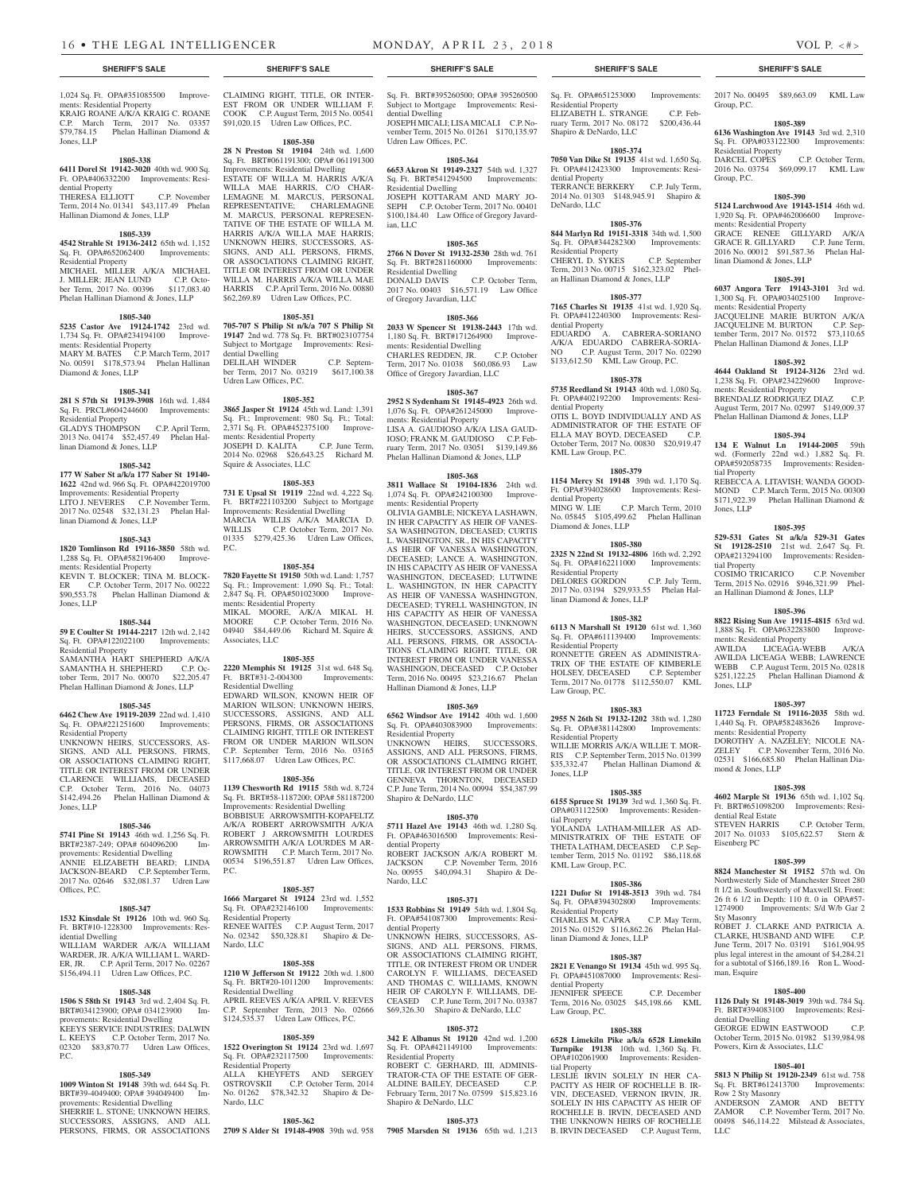1,024 Sq. Ft. OPA#351085500 Improvements: Residential Property KRAIG ROANE A/K/A KRAIG C. ROANE C.P. March Term, 2017 No. 03357 \$79,784.15 Phelan Hallinan Diamond & Jones, LLP

#### **1805-338**

**6411 Dorel St 19142-3020** 40th wd. 900 Sq. Ft. OPA#406332200 Improvements: Residential Property

THERESA ELLIOTT C.P. November Term, 2014 No. 01341 \$43,117.49 Phelan Hallinan Diamond & Jones, LLP

### **1805-339**

**4542 Strahle St 19136-2412** 65th wd. 1,152 Sq. Ft. OPA#652062400 Improvements: Residential Property MICHAEL MILLER A/K/A MICHAEL

J. MILLER; JEAN LUND C.P. October Term, 2017 No. 00396 \$117,083.40 Phelan Hallinan Diamond & Jones, LLP

#### **1805-340**

**5235 Castor Ave 19124-1742** 23rd wd. 1,734 Sq. Ft. OPA#234194100 Improvements: Residential Property MARY M. BATES C.P. March Term, 2017 No. 00591 \$178,573.94 Phelan Hallinan Diamond & Jones, LLP

#### **1805-341**

**281 S 57th St 19139-3908** 16th wd. 1,484 Sq. Ft. PRCL#604244600 Improvements: Residential Property GLADYS THOMPSON C.P. April Term,

2013 No. 04174 \$52,457.49 Phelan Hallinan Diamond & Jones, LLP

#### **1805-342**

**177 W Saber St a/k/a 177 Saber St 19140- 1622** 42nd wd. 966 Sq. Ft. OPA#422019700 Improvements: Residential Property LITO J. NEVERES C.P. November Term, 2017 No. 02548 \$32,131.23 Phelan Hallinan Diamond & Jones, LLP

#### **1805-343**

**1820 Tomlinson Rd 19116-3850** 58th wd. 1,288 Sq. Ft. OPA#582196400 Improvements: Residential Property KEVIN T. BLOCKER; TINA M. BLOCK-

ER C.P. October Term, 2017 No. 00222 \$90,553.78 Phelan Hallinan Diamond & Jones, LLP

#### **1805-344**

**59 E Coulter St 19144-2217** 12th wd. 2,142 Sq. Ft. OPA#122022100 Improvements: Residential Property

SAMANTHA HART SHEPHERD A/K/A SAMANTHA H. SHEPHERD C.P. October Term, 2017 No. 00070 \$22,205.47 Phelan Hallinan Diamond & Jones, LLP

#### **1805-345**

**6462 Chew Ave 19119-2039** 22nd wd. 1,410 Sq. Ft. OPA#221251600 Improvements: Residential Property

UNKNOWN HEIRS, SUCCESSORS, AS-SIGNS, AND ALL PERSONS, FIRMS, OR ASSOCIATIONS CLAIMING RIGHT TITLE OR INTEREST FROM OR UNDER CLARENCE WILLIAMS, DECEASED C.P. October Term, 2016 No. 04073 \$142,494.26 Phelan Hallinan Diamond & Jones, LLP

#### **1805-346**

**5741 Pine St 19143** 46th wd. 1,256 Sq. Ft. BRT#2387-249; OPA# 604096200 Improvements: Residential Dwelling ANNIE ELIZABETH BEARD; LINDA JACKSON-BEARD C.P. September Term, 2017 No. 02646 \$32,081.37 Udren Law Offices,  $PC$ .

#### **1805-347**

**1532 Kinsdale St 19126** 10th wd. 960 Sq. Ft. BRT#10-1228300 Improvements: Residential Dwelling

WILLIAM WARDER A/K/A WILLIAM WARDER, JR. A/K/A WILLIAM L. WARD-ER, JR. C.P. April Term, 2017 No. 02267 \$156,494.11 Udren Law Offices, P.C.

#### **1805-348**

**1506 S 58th St 19143** 3rd wd. 2,404 Sq. Ft. BRT#034123900; OPA# 034123900 Improvements: Residential Dwelling KEEYS SERVICE INDUSTRIES; DALWIN L. KEEYS C.P. October Term, 2017 No. 02320 \$83,870.77 Udren Law Offices, P.C.

#### **1805-349**

**1009 Winton St 19148** 39th wd. 644 Sq. Ft. BRT#39-4049400; OPA# 394049400 Improvements: Residential Dwelling SHERRIE L. STONE; UNKNOWN HEIRS. SUCCESSORS, ASSIGNS, AND ALL PERSONS, FIRMS, OR ASSOCIATIONS CLAIMING RIGHT, TITLE, OR INTER-EST FROM OR UNDER WILLIAM F. COOK C.P. August Term, 2015 No. 00541 \$91,020.15 Udren Law Offices, P.C.

# **1805-350**

**28 N Preston St 19104** 24th wd. 1,600 Sq. Ft. BRT#061191300; OPA# 061191300 Improvements: Residential Dwelling ESTATE OF WILLA M. HARRIS A/K/A WILLA MAE HARRIS, C/O CHAR-LEMAGNE M. MARCUS, PERSONAL REPRESENTATIVE; CHARLEMAGNE M. MARCUS, PERSONAL REPRESEN-TATIVE OF THE ESTATE OF WILLA M. HARRIS A/K/A WILLA MAE HARRIS; UNKNOWN HEIRS, SUCCESSORS, AS-SIGNS, AND ALL PERSONS, FIRMS, OR ASSOCIATIONS CLAIMING RIGHT, TITLE OR INTEREST FROM OR UNDER WILLA M. HARRIS A/K/A WILLA MAE HARRIS C.P. April Term, 2016 No. 00880 \$62,269.89 Udren Law Offices, P.C.

#### **1805-351**

**705-707 S Philip St n/k/a 707 S Philip St 19147** 2nd wd. 778 Sq. Ft. BRT#023107754 Subject to Mortgage Improvements: Residential Dwelling DELILAH WINDER C.P. September Term, 2017 No. 03219 \$617,100.38

# Udren Law Offices, P.C.

**1805-352 3865 Jasper St 19124** 45th wd. Land: 1,391 Sq. Ft.; Improvement: 980 Sq. Ft.; Total: 2,371 Sq. Ft. OPA#452375100 Improve-2,371 Sq. Ft. Or Chronic Control of The Term,<br>ments: Residential Property<br>C.P. June Term, JOSEPH D. KALITA C.P. June Term, 2014 No. 02968 \$26,643.25 Richard M. Squire & Associates, LLC

#### **1805-353**

**731 E Upsal St 19119** 22nd wd. 4,222 Sq. Ft. BRT#221103200 Subject to Mortgage Improvements: Residential Dwelling MARCIA WILLIS A/K/A MARCIA D. WILLIS C.P. October Term, 2017 No. 01335 \$279,425.36 Udren Law Offices, P.C.

#### **1805-354**

**7820 Fayette St 19150** 50th wd. Land: 1,757 Sq. Ft.; Improvement: 1,090 Sq. Ft.; Total: 2,847 Sq. Ft. OPA#501023000 Improvements: Residential Property MIKAL MOORE, A/K/A MIKAL H. MOORE C.P. October Term, 2016 No. 04940 \$84,449.06 Richard M. Squire & Associates, LLC

#### **1805-355**

**2220 Memphis St 19125** 31st wd. 648 Sq. Ft. BRT#31-2-004300 Improvements: Residential Dwelling EDWARD WILSON, KNOWN HEIR OF MARION WILSON; UNKNOWN HEIRS, SUCCESSORS, ASSIGNS, AND ALL PERSONS, FIRMS, OR ASSOCIATIONS CLAIMING RIGHT, TITLE OR INTEREST FROM OR UNDER MARION WILSON C.P. September Term, 2016 No. 03165

**1805-356**

\$117,668.07 Udren Law Offices, P.C.

#### **1139 Chesworth Rd 19115** 58th wd. 8,724 Sq. Ft. BRT#58-1187200; OPA# 581187200 Improvements: Residential Dwelling BOBBISUE ARROWSMITH-KOPAFELTZ

A/K/A ROBERT ARROWSMITH A/K/A ROBERT J ARROWSMITH LOURDES ARROWSMITH A/K/A LOURDES M AR-ROWSMITH C.P. March Term, 2017 No. 00534 \$196,551.87 Udren Law Offices, P.C.

#### **1805-357**

**1666 Margaret St 19124** 23rd wd. 1,552 Sq. Ft. OPA#232146100 Improvements: Residential Property RENEE WAITES C.P. August Term, 2017 No. 02342 \$50,328.81 Shapiro & De-Nardo, LLC

#### **1805-358**

**1210 W Jefferson St 19122** 20th wd. 1,800 Sq. Ft. BRT#20-1011200 Improvements: Residential Dwelling APRIL REEVES A/K/A APRIL V. REEVES C.P. September Term, 2013 No. 02666 \$124,535.37 Udren Law Offices, P.C.

#### **1805-359**

**1522 Overington St 19124** 23rd wd. 1,697 Sq. Ft. OPA#232117500 Improvements: Residential Property ALLA KHEYFETS AND SERGEY OSTROVSKII C.P. October Term, 2014 No. 01262 \$78,342.32 Shapiro & De-Nardo, LLC

#### **1805-362**

**2709 S Alder St 19148-4908** 39th wd. 958

Sq. Ft. BRT#395260500; OPA# 395260500 Subject to Mortgage Improvements: Residential Dwelling JOSEPH MICALI; LISA MICALI C.P. November Term, 2015 No. 01261 \$170,135.97

# Udren Law Offices, P.C.

**1805-364 6653 Akron St 19149-2327** 54th wd. 1,327 Sq. Ft. BRT#541294500 Improvements: Residential Dwelling JOSEPH KOTTARAM AND MARY JO-SEPH C.P. October Term, 2017 No. 00401 \$100,184.40 Law Office of Gregory Javardian, LLC

#### **1805-365**

**2766 N Dover St 19132-2530** 28th wd. 761<br>Sq. Ft. BRT#281160000 Improvements: Sq. Ft. BRT#281160000 Improvements: Residential Dwelling DONALD DAVIS C.P. October Term, 2017 No. 00403 \$16,571.19 Law Office of Gregory Javardian, LLC

#### **1805-366**

**2033 W Spencer St 19138-2443** 17th wd. 1,180 Sq. Ft. BRT#171264900 Improvements: Residential Dwelling CHARLES REDDEN, JR. C.P. October Term, 2017 No. 01038 \$60,086.93 Law Office of Gregory Javardian, LLC

#### **1805-367**

**2952 S Sydenham St 19145-4923** 26th wd. 1,076 Sq. Ft. OPA#261245000 Improvements: Residential Property LISA A. GAUDIOSO A/K/A LISA GAUD-IOSO; FRANK M. GAUDIOSO C.P. February Term, 2017 No. 03051 \$139,149.86 Phelan Hallinan Diamond & Jones, LLP

#### **1805-368**

**3811 Wallace St 19104-1836** 24th wd. 1,074 Sq. Ft. OPA#242100300 Improvements: Residential Property OLIVIA GAMBLE; NICKEYA LASHAWN, IN HER CAPACITY AS HEIR OF VANES-SA WASHINGTON, DECEASED; CURTIS L. WASHINGTON, SR., IN HIS CAPACITY AS HEIR OF VANESSA WASHINGTON, DECEASED; LANCE A. WASHINGTON, IN HIS CAPACITY AS HEIR OF VANESSA WASHINGTON, DECEASED; LUTWINE L. WASHINGTON, IN HER CAPACITY AS HEIR OF VANESSA WASHINGTON DECEASED; TYRELL WASHINGTON, IN HIS CAPACITY AS HEIR OF VANESSA WASHINGTON, DECEASED; UNKNOWN HEIRS, SUCCESSORS, ASSIGNS, AND ALL PERSONS, FIRMS, OR ASSOCIA-TIONS CLAIMING RIGHT, TITLE, OR INTEREST FROM OR UNDER VANESSA WASHINGON, DECEASED C.P. October Term, 2016 No. 00495 \$23,216.67 Phelan Hallinan Diamond & Jones, LLP

#### **1805-369**

**6562 Windsor Ave 19142** 40th wd. 1,600 Sq. Ft. OPA#403083900 Improvements: Residential Property

UNKNOWN HEIRS, SUCCESSORS, ASSIGNS, AND ALL PERSONS, FIRMS, OR ASSOCIATIONS CLAIMING RIGHT, TITLE, OR INTEREST FROM OR UNDER GENNEVA THORNTON, DECEASED C.P. June Term, 2014 No. 00994 \$54,387.99 Shapiro & DeNardo, LLC

#### **1805-370**

**5711 Hazel Ave 19143** 46th wd. 1,280 Sq. Ft. OPA#463016500 Improvements: Residential Property ROBERT JACKSON A/K/A ROBERT M.<br>JACKSON C.P. November Term. 2016 JACKSON C.P. November Term, 2016 No. 00955 \$40,094.31 Shapiro & De-Nardo, LLC

#### **1805-371**

**1533 Robbins St 19149** 54th wd. 1,804 Sq. Ft. OPA#541087300 Improvements: Residential Property

UNKNOWN HEIRS, SUCCESSORS, AS-SIGNS, AND ALL PERSONS, FIRMS, OR ASSOCIATIONS CLAIMING RIGHT, TITLE, OR INTEREST FROM OR UNDER CAROLYN F. WILLIAMS, DECEASED AND THOMAS C. WILLIAMS, KNOWN HEIR OF CAROLYN F. WILLIAMS, DE-CEASED C.P. June Term, 2017 No. 03387 \$69,326.30 Shapiro & DeNardo, LLC

#### **1805-372**

**342 E Albanus St 19120** 42nd wd. 1,200 Sq. Ft. OPA#421149100 Improvements: Residential Property

ROBERT C. GERHARD, III, ADMINIS-TRATOR-CTA OF THE ESTATE OF GER-ALDINE BAILEY, DECEASED February Term, 2017 No. 07599 \$15,823.16 Shapiro & DeNardo, LLC

#### **1805-373**

**7905 Marsden St 19136** 65th wd. 1,213

#### **SHERIFF'S SALE SHERIFF'S SALE SHERIFF'S SALE SHERIFF'S SALE SHERIFF'S SALE**

Sq. Ft. OPA#651253000 Improvements: Residential Property ELIZABETH L. STRANGE C.P. February Term, 2017 No. 08172 \$200,436.44 Shapiro & DeNardo, LLC

2017 No. 00495 \$89,663.09 KML Law

**1805-389 6136 Washington Ave 19143** 3rd wd. 2,310 Sq. Ft. OPA#033122300 Improvements:

2016 No. 03754 \$69,099.17 KML Law

**1805-390 5124 Larchwood Ave 19143-1514** 46th wd. 1,920 Sq. Ft. OPA#462006600 Improve-

GRACE RENEE GILLYARD A/K/A GRACE R. GILLYARD C.P. June Term, 2016 No. 00012 \$91,587.36 Phelan Hal-

**1805-391 6037 Angora Terr 19143-3101** 3rd wd. 1,300 Sq. Ft. OPA#034025100 Improve-

JACQUELINE MARIE BURTON A/K/A JACQUELINE M. BURTON C.P. September Term, 2017 No. 01572 \$73,110.65 Phelan Hallinan Diamond & Jones, LLP **1805-392 4644 Oakland St 19124-3126** 23rd wd. 1,238 Sq. Ft. OPA#234229600 Improve-

BRENDALIZ RODRIGUEZ DIAZ C.P. August Term, 2017 No. 02997 \$149,009.37 Phelan Hallinan Diamond & Jones, LLP **1805-394 134 E Walnut Ln 19144-2005** 59th wd. (Formerly 22nd wd.) 1,882 Sq. Ft. OPA#592058735 Improvements: Residen-

REBECCA A. LITAVISH; WANDA GOOD-MOND C.P. March Term, 2015 No. 00300 \$171,922.39 Phelan Hallinan Diamond &

**1805-395 529-531 Gates St a/k/a 529-31 Gates St 19128-2510** 21st wd. 2,647 Sq. Ft. OPA#213294100 Improvements: Residen-

COSIMO TRICARICO C.P. November Term, 2015 No. 02916 \$946,321.99 Phelan Hallinan Diamond & Jones, LLP

**1805-396 8822 Rising Sun Ave 19115-4815** 63rd wd. 1,888 Sq. Ft. OPA#632283800 Improve-

AWILDA LICEAGA-WEBB A/K/A AWILDA LICEAGA WEBB; LAWRENCE WEBB C.P. August Term, 2015 No. 02818 \$251,122.25 Phelan Hallinan Diamond &

**1805-397 11723 Ferndale St 19116-2035** 58th wd. 1,440 Sq. Ft. OPA#582483626 Improve-

DOROTHY A. NAZELEY; NICOLE NA-ZELEY C.P. November Term, 2016 No. 02531 \$166,685.80 Phelan Hallinan Dia-

**1805-398 4602 Marple St 19136** 65th wd. 1,102 Sq. Ft. BRT#651098200 Improvements: Resi-

STEVEN HARRIS C.P. October Term, 2017 No. 01033 \$105,622.57 Stern &

**1805-399 8824 Manchester St 19152** 57th wd. On Northwesterly Side of Manchester Street 280 ft 1/2 in. Southwesterly of Maxwell St. Front: 26 ft 6 1/2 in Depth: 110 ft. 0 in OPA#57- 1274900 Improvements: S/d W/b Gar 2

ROBET J. CLARKE AND PATRICIA A. CLARKE, HUSBAND AND WIFE C.P. June Term, 2017 No. 03191 \$161,904.95 plus legal interest in the amount of \$4,284.21 for a subtotal of \$166,189.16 Ron L. Wood-

**1805-400 1126 Daly St 19148-3019** 39th wd. 784 Sq. Ft. BRT#394083100 Improvements: Resi-

GEORGE EDWIN EASTWOOD C.P. October Term, 2015 No. 01982 \$139,984.98

**1805-401 5813 N Philip St 19120-2349** 61st wd. 758 Sq. Ft. BRT#612413700 Improvements:

ANDERSON ZAMOR AND BETTY ZAMOR C.P. November Term, 2017 No. 00498 \$46,114.22 Milstead & Associates,

Powers, Kirn & Associates, LLC

ments: Residential Property

ments: Residential Property

mond & Jones, LLP

dential Real Estate

Eisenberg PC

Sty Masonry

man, Esquire

dential Dwelling

Row 2 Sty Masonry

LLC

C.P. October Term,

Group, P.C.

Group, P.C.

Residential Property<br>DARCEL COPES

ments: Residential Property

linan Diamond & Jones, LLP

ments: Residential Property

ments: Residential Property

tial Property

Jones, LLP

tial Property

Jones, LLP

#### **1805-374**

**7050 Van Dike St 19135** 41st wd. 1,650 Sq. Ft. OPA#412423300 Improvements: Residential Property TERRANCE BERKERY C.P. July Term, 2014 No. 01303 \$148,945.91 Shapiro & DeNardo, LLC

#### **1805-376 844 Marlyn Rd 19151-3318** 34th wd. 1,500

Sq. Ft. OPA#344282300 Improvements: Residential Property CHERYL D. SYKES C.P. September Term, 2013 No. 00715 \$162,323.02 Phelan Hallinan Diamond & Jones, LLP

#### **1805-377**

**7165 Charles St 19135** 41st wd. 1,920 Sq. Ft. OPA#412240300 Improvements: Residential Property EDUARDO A. CABRERA-SORIANO A/K/A EDUARDO CABRERA-SORIA-NO C.P. August Term, 2017 No. 02290 \$133,612.50 KML Law Group, P.C.

#### **1805-378**

**5735 Reedland St 19143** 40th wd. 1,080 Sq. Ft. OPA#402192200 Improvements: Resi-

dential Property OTIS L. BOYD INDIVIDUALLY AND AS ADMINISTRATOR OF THE ESTATE OF ELLA MAY BOYD, DECEASED October Term, 2017 No. 00830 \$20,919.47 KML Law Group, P.C.

### **1805-379**

**1154 Mercy St 19148** 39th wd. 1,170 Sq. Ft. OPA#394028600 Improvements: Residential Property<br>MING W. LIE C.P. March Term, 2010 No. 05845 \$105,499.62 Phelan Hallinan Diamond & Jones, LLP

### **1805-380**

**2325 N 22nd St 19132-4806** 16th wd. 2,292 Sq. Ft. OPA#162211000 Improvements: Residential Property DELORES GORDON C.P. July Term, 2017 No. 03194 \$29,933.55 Phelan Hallinan Diamond & Jones, LLP

#### **1805-382**

**6113 N Marshall St 19120** 61st wd. 1,360 Sq. Ft. OPA#611139400 Improvements: Residential Property RONNETTE GREEN AS ADMINISTRA-TRIX OF THE ESTATE OF KIMBERLE HOLSEY, DECEASED C.P. September Term, 2017 No. 01778 \$112,550.07 KML

**2955 N 26th St 19132-1202** 38th wd. 1,280 Sq. Ft. OPA#381142800 Improvements:

WILLIE MORRIS A/K/A WILLIE T. MOR-RIS C.P. September Term, 2015 No. 01399<br>\$35,332.47 Phelan Hallinan Diamond &

**1805-385 6155 Spruce St 19139** 3rd wd. 1,360 Sq. Ft. OPA#031122500 Improvements: Residen-

YOLANDA LATHAM-MILLER AS AD-MINISTRATRIX OF THE ESTATE OF THETA LATHAM, DECEASED C.P. September Term, 2015 No. 01192 \$86,118.68

**1805-386 1221 Dufor St 19148-3513** 39th wd. 784 Sq. Ft. OPA#394302800 Improvements:

CHARLES M. CAPRA C.P. May Term, 2015 No. 01529 \$116,862.26 Phelan Hal-

**1805-387 2821 E Venango St 19134** 45th wd. 995 Sq. Ft. OPA#451087000 Improvements: Resi-

JENNIFER SPEECE C.P. Decem Term, 2016 No. 03025 \$45,198.66 KML

**1805-388 6528 Limekiln Pike a/k/a 6528 Limekiln Turnpike 19138** 10th wd. 1,360 Sq. Ft. OPA#102061900 Improvements: Residen-

LESLIE IRVIN SOLELY IN HER CA-PACITY AS HEIR OF ROCHELLE B. IR-VIN, DECEASED, VERNON IRVIN, JR. SOLELY IN HIS CAPACITY AS HEIR OF ROCHELLE B. IRVIN, DECEASED AND THE UNKNOWN HEIRS OF ROCHELLE B. IRVIN DECEASED C.P. August Term,

Phelan Hallinan Diamond &

### **1805-383**

Law Group, P.C.

Residential Property

Jones, LLP

tial Property

KML Law Group, P.C.

Residential Property

dential Property

Law Group, P.C.

tial Property

linan Diamond & Jones, LLP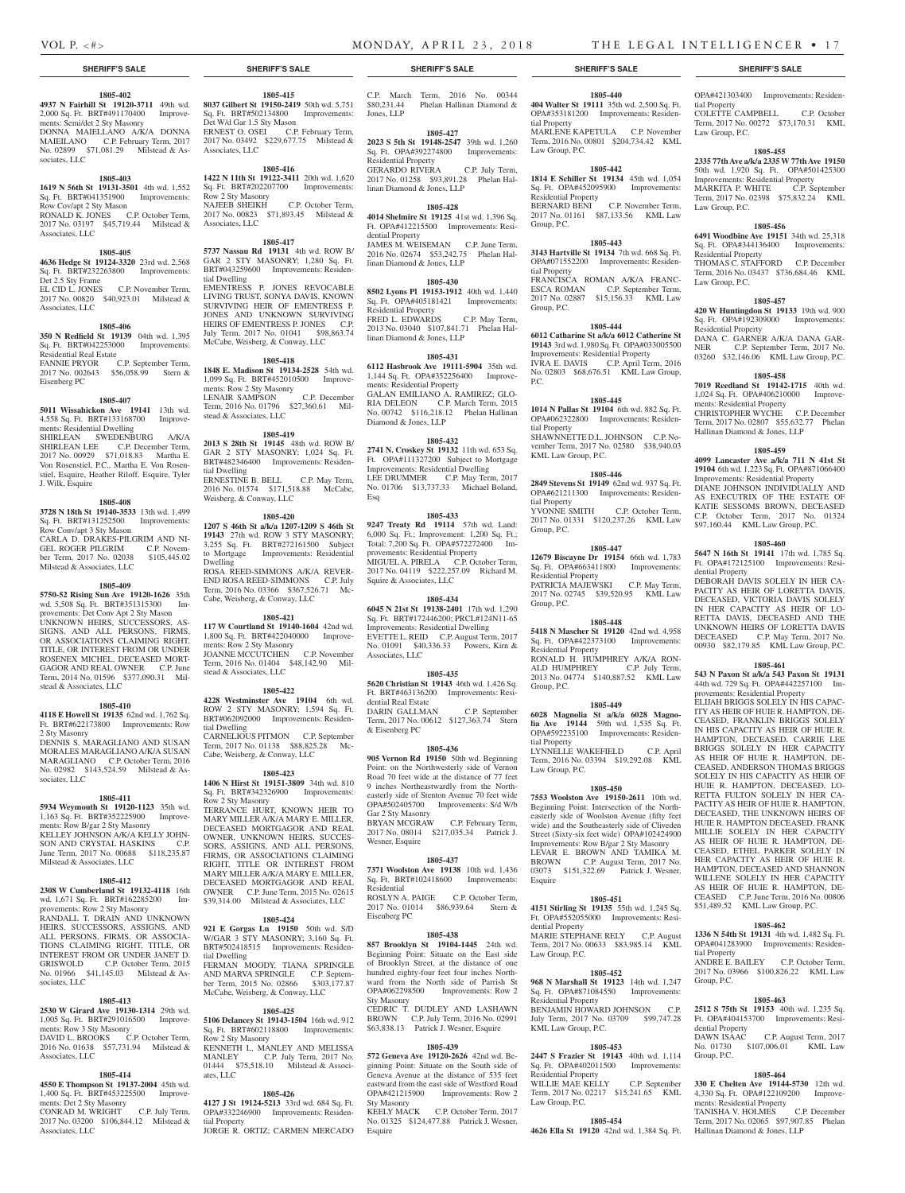tial Property

Law Group, P.C.

Law Group, P.C.

Residential Property

Residential Property

ments: Residential Property

dential Property

tial Property

Group, P.C.

dential Property<br>DAWN ISAAC

Group, P.C.

No.  $01730$  \$107,006.01

ments: Residential Property

Hallinan Diamond & Jones, LLP

Hallinan Diamond & Jones, LLP

Law Group, P.C.

OPA#421303400 Improvements: Residen-

COLETTE CAMPBELL C.P. October COLETTE CAMPBELL C.P. October<br>Term, 2017 No. 00272 \$73,170.31 KML

**1805-455 2335 77th Ave a/k/a 2335 W 77th Ave 19150**  50th wd. 1,920 Sq. Ft. OPA#501425300 Improvements: Residential Property MARKITA P. WHITE C.P. September Term, 2017 No. 02398 \$75,832.24 KML

**1805-456 6491 Woodbine Ave 19151** 34th wd. 25,318 Sq. Ft. OPA#344136400 Improvements:

THOMAS C. STAFFORD C.P. December Term, 2016 No. 03437 \$736,684.46 KML

**1805-457 420 W Huntingdon St 19133** 19th wd. 900 Sq. Ft. OPA#192309000 Improvements:

DANA C. GARNER A/K/A DANA GAR-NER C.P. September Term, 2017 No. 03260 \$32,146.06 KML Law Group, P.C. **1805-458 7019 Reedland St 19142-1715** 40th wd. 1,024 Sq. Ft. OPA#406210000 Improve-

CHRISTOPHER WYCHE C.P. December Term, 2017 No. 02807 \$55,632.77 Phelan

**1805-459 4099 Lancaster Ave a/k/a 711 N 41st St 19104** 6th wd. 1,223 Sq. Ft. OPA#871066400 Improvements: Residential Property DIANE JOHNSON INDIVIDUALLY AND AS EXECUTRIX OF THE ESTATE OF KATIE SESSOMS BROWN, DECEASED C.P. October Term, 2017 No. 01324 \$97,160.44 KML Law Group, P.C.

**1805-460 5647 N 16th St 19141** 17th wd. 1,785 Sq. Ft. OPA#172125100 Improvements: Resi-

DEBORAH DAVIS SOLELY IN HER CA-PACITY AS HEIR OF LORETTA DAVIS, DECEASED, VICTORIA DAVIS SOLELY IN HER CAPACITY AS HEIR OF LO-RETTA DAVIS, DECEASED AND THE UNKNOWN HEIRS OF LORETTA DAVIS DECEASED C.P. May Term, 2017 No. 00930 \$82,179.85 KML Law Group, P.C. **1805-461 543 N Paxon St a/k/a 543 Paxon St 19131**  44th wd. 729 Sq. Ft. OPA#442257100 Improvements: Residential Property

ELIJAH BRIGGS SOLELY IN HIS CAPAC-ITY AS HEIR OF HUIE R. HAMPTON, DE-CEASED, FRANKLIN BRIGGS SOLELY IN HIS CAPACITY AS HEIR OF HUIE R. HAMPTON, DECEASED, CARRIE LEE BRIGGS SOLELY IN HER CAPACITY AS HEIR OF HUIE R. HAMPTON, DE-CEASED, ANDERSON THOMAS BRIGGS SOLELY IN HIS CAPACITY AS HEIR OF HUIE R. HAMPTON, DECEASED, LO-RETTA FULTON SOLELY IN HER CA-PACITY AS HEIR OF HUIE R. HAMPTON, DECEASED, THE UNKNOWN HEIRS OF HUIE R. HAMPTON DECEASED, FRANK MILLIE SOLELY IN HER CAPACITY AS HEIR OF HUIE R. HAMPTON, DE-CEASED, ETHEL PARKER SOLELY IN HER CAPACITY AS HEIR OF HUIE R. HAMPTON, DECEASED AND SHANNON WILLENE SOLELY IN HER CAPACITY AS HEIR OF HUIE R. HAMPTON, DE-CEASED C.P. June Term, 2016 No. 00806 \$51,489.52 KML Law Group, P.C. **1805-462 1336 N 54th St 19131** 4th wd. 1,482 Sq. Ft. OPA#041283900 Improvements: Residen-

ANDRE E. BAILEY C.P. October Term, 2017 No. 03966 \$100,826.22 KML Law

**1805-463 2512 S 75th St 19153** 40th wd. 1,235 Sq. Ft. OPA#404153700 Improvements: Resi-

**1805-464 330 E Chelten Ave 19144-5730** 12th wd. 4,330 Sq. Ft. OPA#122109200 Improve-

TANISHA V. HOLMES C.P. December Term, 2017 No. 02065 \$97,907.85 Phelan

C.P. August Term, 2017<br>7.006.01 KML Law

### **SHERIFF'S SALE SHERIFF'S SALE SHERIFF'S SALE SHERIFF'S SALE SHERIFF'S SALE**

#### **1805-402**

**4937 N Fairhill St 19120-3711** 49th wd. 2,000 Sq. Ft. BRT#491170400 Improvements: Semi/det 2 Sty Masonry DONNA MAIELLANO A/K/A DONNA MAIEILANO C.P. February Term, 2017 No. 02899 \$71,081.29 Milstead & Associates, LLC

#### **1805-403**

**1619 N 56th St 19131-3501** 4th wd. 1,552 Sq. Ft. BRT#041351900 Improvements: Row Cov/apt 2 Sty Mason RONALD K. JONES C.P. October Term, 2017 No. 03197 \$45,719.44 Milstead & Associates, LLC

#### **1805-405**

**4636 Hedge St 19124-3320** 23rd wd. 2,568 Sq. Ft. BRT#232263800 Improvements: Det 2.5 Sty Frame<br>EL CID L. JONES C.P. November Term. 2017 No. 00820 \$40,923.01 Milstead & Associates, LLC

Eisenberg PC

**1805-406 350 N Redfield St 19139** 04th wd. 1,395 Sq. Ft. BRT#042253000 Improvements:

Residential Real Estate FANNIE PRYOR C.P. September Term, 2017 No. 002643 \$56,058.99 Stern &

**1805-407 5011 Wissahickon Ave 19141** 13th wd. 4,558 Sq. Ft. BRT#133168700 Improvements: Residential Dwelling

SHIRLEAN SWEDENBURG A/K/A SHIRLEAN LEE C.P. December Term, 2017 No. 00929 \$71,018.83 Martha E. Von Rosenstiel, P.C., Martha E. Von Rosenstiel, Esquire, Heather Riloff, Esquire, Tyler J. Wilk, Esquire

#### **1805-408**

**3728 N 18th St 19140-3533** 13th wd. 1,499 Sq. Ft. BRT#131252500 Improvements: Row Conv/apt 3 Sty Mason CARLA D. DRAKES-PILGRIM AND NI-<br>GEL ROGER PILGRIM CP Novem-GEL ROGER PILGRIM ber Term, 2017 No. 02038 \$105,445.02 Milstead & Associates, LLC

**1805-409**

**5750-52 Rising Sun Ave 19120-1626** 35th wd. 5,508 Sq. Ft. BRT#351315300 Improvements: Det Conv Apt 2 Sty Mason UNKNOWN HEIRS, SUCCESSORS, AS-SIGNS, AND ALL PERSONS, FIRMS, OR ASSOCIATIONS CLAIMING RIGHT, TITLE, OR INTEREST FROM OR UNDER ROSENEX MICHEL, DECEASED MORT-GAGOR AND REAL OWNER C.P. June Term, 2014 No. 01596 \$377,090.31 Milstead & Associates, LLC

#### **1805-410**

**4118 E Howell St 19135** 62nd wd. 1,762 Sq. Ft. BRT#622173800 Improvements: Row 2 Sty Masonry

DENNIS S. MARAGLIANO AND SUSAN MORALES MARAGLIANO A/K/A SUSAN MARAGLIANO C.P. October Term, 2016 No. 02982 \$143,524.59 Milstead & Associates, LLC

#### **1805-411**

**5934 Weymouth St 19120-1123** 35th wd. 1,163 Sq. Ft. BRT#352225900 Improvements: Row B/gar 2 Sty Masonry KELLEY JOHNSON A/K/A KELLY JOHN-SON AND CRYSTAL HASKINS C.P. June Term, 2017 No. 00688 \$118,235.87 Milstead & Associates, LLC

#### **1805-412**

**2308 W Cumberland St 19132-4118** 16th wd. 1,671 Sq. Ft. BRT#162285200 Improvements: Row 2 Sty Masonry RANDALL T. DRAIN AND UNKNOWN HEIRS, SUCCESSORS, ASSIGNS, AND ALL PERSONS, FIRMS, OR ASSOCIA-TIONS CLAIMING RIGHT, TITLE, OR INTEREST FROM OR UNDER JANET D. GRISWOLD C.P. October Term, 2015 No. 01966 \$41,145.03 Milstead & Associates, LLC

#### **1805-413**

**2530 W Girard Ave 19130-1314** 29th wd. 1,005 Sq. Ft. BRT#291016500 Improvements: Row 3 Sty Masonry DAVID L. BROOKS C.P. October Term. 2016 No. 01638 \$57,731.94 Milstead & Associates, LLC

#### **1805-414**

**4550 E Thompson St 19137-2004** 45th wd. 1,400 Sq. Ft. BRT#453225500 Improvements: Det 2 Sty Masonry CONRAD M. WRIGHT C.P. July Term, 2017 No. 03200 \$106,844.12 Milstead & Associates, LLC

**1805-415**

**8037 Gilbert St 19150-2419** 50th wd. 5,751 Sq. Ft. BRT#502134800 Improvements: Det W/d Gar 1.5 Sty Mason ERNEST O. OSEI C.P. February Term, 2017 No. 03492 \$229,677.75 Milstead & Associates, LLC

#### **1805-416**

**1422 N 11th St 19122-3411** 20th wd. 1,620 Sq. Ft. BRT#202207700 Improvements: Row 2 Sty Masonry<br>NAJEEB SHEIKH NAJEEB SHEIKH C.P. October Term, 2017 No. 00823 \$71,893.45 Milstead & Associates, LLC

#### **1805-417**

**5737 Nassau Rd 19131** 4th wd. ROW B/ GAR 2 STY MASONRY; 1,280 Sq. Ft. BRT#043259600 Improvements: Residential Dwelling EMENTRESS P. JONES REVOCABLE LIVING TRUST, SONYA DAVIS, KNOWN SURVIVING HEIR OF EMENTRESS P. JONES AND UNKNOWN SURVIVING HEIRS OF EMENTRESS P. JONES C.P. July Term, 2017 No. 01041 \$98,863.74 McCabe, Weisberg, & Conway, LLC

### **1805-418**

**1848 E. Madison St 19134-2528** 54th wd. 1,099 Sq. Ft. BRT#452010500 Improvements: Row 2 Sty Masonry LENAIR SAMPSON C.P. December Term, 2016 No. 01796 \$27,360.61 Milstead & Associates, LLC

#### **1805-419**

**2013 S 28th St 19145** 48th wd. ROW B/ GAR 2 STY MASONRY; 1,024 Sq. Ft. BRT#482346400 Improvements: Residential Dwelling ERNESTINE B. BELL C.P. May Term, 2016 No. 01574 \$171,518.88 McCabe, Weisberg, & Conway, LLC

#### **1805-420**

**1207 S 46th St a/k/a 1207-1209 S 46th St 19143** 27th wd. ROW 3 STY MASONRY; 3,255 Sq. Ft. BRT#272161500 Subject to Mortgage Improvements: Residential Dwelling ROSA REED-SIMMONS A/K/A REVER-END ROSA REED-SIMMONS C.P. July Term, 2016 No. 03366 \$367,526.71 Mc-Cabe, Weisberg, & Conway, LLC

#### **1805-421**

**117 W Courtland St 19140-1604** 42nd wd. 1,800 Sq. Ft. BRT#422040000 Improvements: Row 2 Sty Masonry JOANNE MCCUTCHEN C.P. November Term, 2016 No. 01404 \$48,142,90 Milstead & Associates, LLC

#### **1805-422**

**4228 Westminster Ave 19104** 6th wd. ROW 2 STY MASONRY; 1,594 Sq. Ft. BRT#062092000 Improvements: Residential Dwelling CARNELIOUS PITMON C.P. September Term, 2017 No. 01138 \$88,825.28 Mc-Cabe, Weisberg, & Conway, LLC

#### **1805-423**

**1406 N Hirst St 19151-3809** 34th wd. 810 Sq. Ft. BRT#342326900 Improvements: Row 2 Sty Masonry TERRANCE HURT, KNOWN HEIR TO MARY MILLER A/K/A MARY E. MILLER, DECEASED MORTGAGOR AND REAL OWNER, UNKNOWN HEIRS, SUCCES-SORS, ASSIGNS, AND ALL PERSONS, FIRMS, OR ASSOCIATIONS CLAIMING RIGHT, TITLE OR INTEREST FROM MARY MILLER A/K/A MARY E. MILLER, DECEASED MORTGAGOR AND REAL OWNER C.P. June Term, 2015 No. 02615 \$39,314.00 Milstead & Associates, LLC

#### **1805-424**

**921 E Gorgas Ln 19150** 50th wd. S/D W/GAR 3 STY MASONRY; 3,160 Sq. Ft. BRT#502418515 Improvements: Residential Dwelling FERMAN MOODY, TIANA SPRINGLE AND MARVA SPRINGLE C.P. September Term, 2015 No. 02866 \$303,177.87 McCabe, Weisberg, & Conway, LLC

#### **1805-425**

**5106 Delancey St 19143-1504** 16th wd. 912 Sq. Ft. BRT#602118800 Improvements: Row 2 Sty Masonry KENNETH L. MANLEY AND MELISSA<br>MANLEY C.P. July Term, 2017 No. MANLEY C.P. July Term, 2017 No. 01444 \$75,518.10 Milstead & Associates, LLC

#### **1805-426**

**4127 J St 19124-5213** 33rd wd. 684 Sq. Ft. OPA#332246900 Improvements: Residential Property JORGE R. ORTIZ; CARMEN MERCADO C.P. March Term, 2016 No. 00344 \$80,231.44 Phelan Hallinan Diamond & Jones, LLP

#### **1805-427**

**2023 S 5th St 19148-2547** 39th wd. 1,260 Sq. Ft. OPA#392274800 Improvements: Residential Property GERARDO RIVERA C.P. July Term, 2017 No. 01258 \$93,891.28 Phelan Hallinan Diamond & Jones, LLP

#### **1805-428**

**4014 Shelmire St 19125** 41st wd. 1,396 Sq. Ft. OPA#412215500 Improvements: Residential Property JAMES M. WEISEMAN C.P. June Term, 2016 No. 02674 \$53,242.75 Phelan Hallinan Diamond & Jones, LLP

#### **1805-430**

**8502 Lyons Pl 19153-1912** 40th wd. 1,440 Sq. Ft. OPA#405181421 Improvements: Residential Property FRED L. EDWARDS C.P. May Term, 2013 No. 03040 \$107,841.71 Phelan Hallinan Diamond & Jones, LLP

#### **1805-431**

**6112 Hasbrook Ave 19111-5904** 35th wd. 1,144 Sq. Ft. OPA#352256400 Improvements: Residential Property GALAN EMILIANO A. RAMIREZ; GLO-RIA DELEON C.P. March Term, 2015 No. 00742 \$116,218.12 Phelan Hallinan Diamond & Jones, LLP

#### **1805-432**

**2741 N. Croskey St 19132** 11th wd. 653 Sq. Ft. OPA#111327200 Subject to Mortgage Improvements: Residential Dwelling LEE DRUMMER C.P. May Term, 2017 No. 01706 \$13,737.33 Michael Boland, Esq

#### **1805-433**

**9247 Treaty Rd 19114** 57th wd. Land: 6,000 Sq. Ft.; Improvement: 1,200 Sq. Ft.; Total: 7,200 Sq. Ft. OPA#572272400 Improvements: Residential Property MIGUEL A. PIRELA C.P. October Term, 2017 No. 04119 \$222,257.09 Richard M. Squire & Associates, LLC

#### **1805-434**

**6045 N 21st St 19138-2401** 17th wd. 1,290 Sq. Ft. BRT#172446200; PRCL#124N11-65 Improvements: Residential Dwelling EVETTE L. REID C.P. August Term, 2017 No. 01091 \$40,336.33 Powers, Kirn & Associates, LLC

#### **1805-435**

**5620 Christian St 19143** 46th wd. 1,426 Sq. Ft. BRT#463136200 Improvements: Residential Real Estate DARIN GALLMAN C.P. September Term, 2017 No. 00612 \$127,363.74 Stern & Eisenberg PC

#### **1805-436**

**905 Vernon Rd 19150** 50th wd. Beginning Point: on the Northwesterly side of Vernon Road 70 feet wide at the distance of 77 feet 9 inches Northeastwardly from the Northeasterly side of Stenton Avenue 70 feet wide OPA#502405700 Improvements: S/d W/b Gar 2 Sty Masonry BRYAN MCGRAW C.P. February Term,

2017 No. 08014 \$217,035.34 Patrick J. Wesner, Esquire

#### **1805-437**

**7371 Woolston Ave 19138** 10th wd. 1,436 Sq. Ft. BRT#102418600 Improvements: Residential ROSLYN A. PAIGE C.P. October Term,

2017 No. 01014 \$86,939.64 Stern & Eisenberg PC

#### **1805-438**

**857 Brooklyn St 19104-1445** 24th wd. Beginning Point: Situate on the East side of Brooklyn Street, at the distance of one hundred eighty-four feet four inches Northward from the North side of Parrish St OPA#062298500 Improvements: Row 2 Sty Masonry CEDRIC T. DUDLEY AND LASHAWN

BROWN C.P. July Term, 2016 No. 02991 \$63,838.13 Patrick J. Wesner, Esquire

#### **1805-439**

**572 Geneva Ave 19120-2626** 42nd wd. Beginning Point: Situate on the South side of Geneva Avenue at the distance of 535 feet eastward from the east side of Westford Road OPA#421215900 Improvements: Row 2 Sty Masonry KEELY MACK C.P. October Term, 2017 No. 01325 \$124,477.88 Patrick J. Wesner, Esquire

**1805-440 404 Walter St 19111** 35th wd. 2,500 Sq. Ft. OPA#353181200 Improvements: Residential Property MARLENE KAPETULA C.P. November Term, 2016 No. 00801 \$204,734.42 KML Law Group, P.C.

**1805-442 1814 E Schiller St 19134** 45th wd. 1,054

Sq. Ft. OPA#452095900 Improvements: Residential Property BERNARD BENI C.P. November Term, 2017 No. 01161 \$87,133.56 KML Law Group, P.C.

#### **1805-443**

**3143 Hartville St 19134** 7th wd. 668 Sq. Ft. OPA#071552200 Improvements: Residential Property FRANCISCA ROMAN A/K/A FRANC-ESCA ROMAN C.P. September Term, 2017 No. 02887 \$15,156.33 KML Law Group, P.C.

#### **1805-444**

**6012 Catharine St a/k/a 6012 Catherine St 19143** 3rd wd. 1,980 Sq. Ft. OPA#033005500 Improvements: Residential Property IVRA E. DAVIS C.P. April Term, 2016 No. 02803 \$68,676.51 KML Law Group, P.C.

#### **1805-445**

**1014 N Pallas St 19104** 6th wd. 882 Sq. Ft. OPA#062322800 Improvements: Residential Property SHAWNNETTE D.L. JOHNSON C.P. November Term, 2017 No. 02580 \$38,940.03 KML Law Group, P.C.

#### **1805-446**

**2849 Stevens St 19149** 62nd wd. 937 Sq. Ft. OPA#621211300 Improvements: Residential Property YVONNE SMITH C.P. October Term, 2017 No. 01331 \$120,237.26 KML Law Group, P.C.

#### **1805-447**

**12679 Biscayne Dr 19154** 66th wd. 1,783 Sq. Ft. OPA#663411800 Improvements: Residential Property PATRICIA MAJEWSKI C.P. May Term, 2017 No. 02745 \$39,520.95 KML Law Group, P.C.

#### **1805-448**

**5418 N Mascher St 19120** 42nd wd. 4,958 Sq. Ft. OPA#422373100 Improvements: Residential Property RONALD H. HUMPHREY A/K/A RON-ALD HUMPHREY C.P. July Term, 2013 No. 04774 \$140,887.52 KML Law Group, P.C.

#### **1805-449**

Law Group, P.C.

Esquire

dential Property

Law Group, P.C.

Residential Property

KML Law Group, P.C.

Residential Property

Law Group, P.C.

**6028 Magnolia St a/k/a 6028 Magnolia Ave 19144** 59th wd. 1,535 Sq. Ft. OPA#592235100 Improvements: Residential Property LYNNELLE WAKEFIELD C.P. April Term, 2016 No. 03394 \$19,292.08 KML

**1805-450 7553 Woolston Ave 19150-2611** 10th wd. Beginning Point: Intersection of the Northeasterly side of Woolston Avenue (fifty feet wide) and the Southeasterly side of Cliveden Street (Sixty-six feet wide) OPA#102424900 Improvements: Row B/gar 2 Sty Masonry LEVAR E. BROWN AND TAMIKA M. BROWN C.P. August Term, 2017 No. 03073 \$151,322.69 Patrick J. Wesner,

**1805-451 4151 Stirling St 19135** 55th wd. 1,245 Sq. Ft. OPA#552055000 Improvements: Resi-

MARIE STEPHANE RELY C.P. August Term, 2017 No. 00633 \$83,985.14 KML

**1805-452 968 N Marshall St 19123** 14th wd. 1,247 Sq. Ft. OPA#871084550 Improvements:

BENJAMIN HOWARD JOHNSON C.P. July Term, 2017 No. 03709 \$99,747.28

**1805-453 2447 S Frazier St 19143** 40th wd. 1,114 Sq. Ft. OPA#402011500 Improvements:

WILLIE MAE KELLY C.P. September Term, 2017 No. 02217 \$15,241.65 KML

**1805-454 4626 Ella St 19120** 42nd wd. 1,384 Sq. Ft.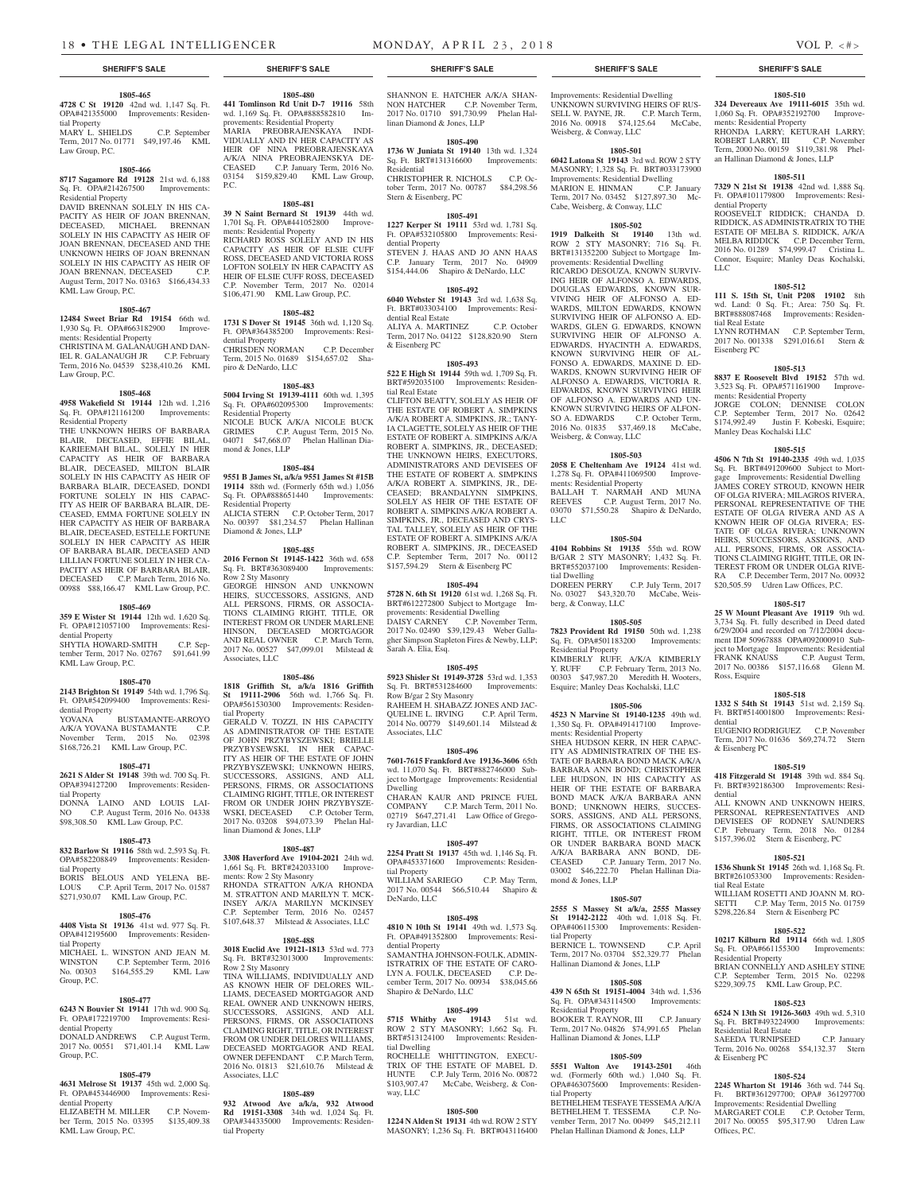**1805-480 441 Tomlinson Rd Unit D-7 19116** 58th wd. 1,169 Sq. Ft. OPA#888582810 provements: Residential Property MARIA PREOBRAJENSKAYA INDI-VIDUALLY AND IN HER CAPACITY AS HEIR OF NINA PREOBRAJENSKAYA A/K/A NINA PREOBRAJENSKYA DE-CEASED C.P. January Term, 2016 No. 03154 \$159,829.40 KML Law Group,

**1805-481 39 N Saint Bernard St 19139** 44th wd. 1,701 Sq. Ft. OPA#441052800 Improve-

RICHARD ROSS SOLELY AND IN HIS CAPACITY AS HEIR OF ELSIE CUFF ROSS, DECEASED AND VICTORIA ROSS LOFTON SOLELY IN HER CAPACITY AS HEIR OF ELSIE CUFF ROSS, DECEASED C.P. November Term, 2017 No. 02014 \$106,471.90 KML Law Group, P.C. **1805-482 1731 S Dover St 19145** 36th wd. 1,120 Sq. Ft. OPA#364385200 Improvements: Resi-

CHRISDEN NORMAN C.P. December Term, 2015 No. 01689 \$154,657.02 Sha-

**1805-483 5004 Irving St 19139-4111** 60th wd. 1,395 Sq. Ft. OPA#602095300 Improvements:

NICOLE BUCK A/K/A NICOLE BUCK GRIMES C.P. August Term, 2015 No. 04071 \$47,668.07 Phelan Hallinan Dia-

**1805-484 9551 B James St, a/k/a 9551 James St #15B 19114** 88th wd. (Formerly 65th wd.) 1,056 Sq. Ft. OPA#888651440 Improvements:

ALICIA STERN C.P. October Term, 2017 No. 00397 \$81,234.57 Phelan Hallinan

**1805-485 2016 Fernon St 19145-1422** 36th wd. 658 Sq. Ft. BRT#363089400 Improvements:

GEORGE HINSON AND UNKNOWN HEIRS, SUCCESSORS, ASSIGNS, AND ALL PERSONS, FIRMS, OR ASSOCIA-TIONS CLAIMING RIGHT, TITLE, OR INTEREST FROM OR UNDER MARLENE HINSON, DECEASED MORTGAGOR AND REAL OWNER C.P. March Term, 2017 No. 00527 \$47,099.01 Milstead &

**1805-486 1818 Griffith St, a/k/a 1816 Griffith St 19111-2906** 56th wd. 1,766 Sq. Ft. OPA#561530300 Improvements: Residen-

GERALD V. TOZZI, IN HIS CAPACITY AS ADMINISTRATOR OF THE ESTATE OF JOHN PRZYBYSZEWSKI; BRIELLE PRZYBYSEWSKI, IN HER CAPAC-ITY AS HEIR OF THE ESTATE OF JOHN PRZYBYSZEWSKI; UNKNOWN HEIRS, SUCCESSORS, ASSIGNS, AND ALL PERSONS, FIRMS, OR ASSOCIATIONS CLAIMING RIGHT, TITLE, OR INTEREST FROM OR UNDER JOHN PRZYBYSZE-WSKI, DECEASED C.P. October Term, 2017 No. 03208 \$94,073.39 Phelan Hal-

**1805-487**

INSEY A/K/A MARILYN MCKINSEY C.P. September Term, 2016 No. 02457 \$107,648.37 Milstead & Associates, LLC **1805-488 3018 Euclid Ave 19121-1813** 53rd wd. 773 Sq. Ft. BRT#323013000 Improvements:

TINA WILLIAMS, INDIVIDUALLY AND AS KNOWN HEIR OF DELORES WIL-LIAMS, DECEASED MORTGAGOR AND REAL OWNER AND UNKNOWN HEIRS, SUCCESSORS, ASSIGNS, AND ALL PERSONS, FIRMS, OR ASSOCIATIONS CLAIMING RIGHT, TITLE, OR INTEREST FROM OR UNDER DELORES WILLIAMS, DECEASED MORTGAGOR AND REAL OWNER DEFENDANT C.P. March Term, 2016 No. 01813 \$21,610.76 Milstead &

**1805-489 932 Atwood Ave a/k/a, 932 Atwood Rd 19151-3308** 34th wd. 1,024 Sq. Ft. OPA#344335000 Improvements: Residen-

linan Diamond & Jones, LLP

ments: Row 2 Sty Masonry

Row 2 Sty Masonry

Associates, LLC

tial Property

ments: Residential Property

dential Property

piro & DeNardo, LLC

Residential Property

mond & Jones, LLP

Residential Property

Diamond & Jones, LLP

Row 2 Sty Masonry

Associates, LLC

tial Property

P.C.

SHANNON E. HATCHER A/K/A SHAN-NON HATCHER C.P. November Term, 2017 No. 01710 \$91,730.99 Phelan Hallinan Diamond & Jones, LLP

#### **1805-490**

**1736 W Juniata St 19140** 13th wd. 1,324 Sq. Ft. BRT#131316600 Improvements: Residential CHRISTOPHER R. NICHOLS C.P. Oc-

tober Term, 2017 No. 00787 \$84,298.56 Stern & Eisenberg, PC

### **1805-491**

**1227 Kerper St 19111** 53rd wd. 1,781 Sq. Ft. OPA#532105800 Improvements: Residential Property STEVEN J. HAAS AND JO ANN HAAS C.P. January Term, 2017 No. 04909

\$154,444.06 Shapiro & DeNardo, LLC

### **1805-492**

**6040 Webster St 19143** 3rd wd. 1,638 Sq. Ft. BRT#033034100 Improvements: Residential Real Estate

ALIYA A. MARTINEZ C.P. October Term, 2017 No. 04122 \$128,820.90 Stern & Eisenberg PC

#### **1805-493**

**522 E High St 19144** 59th wd. 1,709 Sq. Ft. BRT#592035100 Improvements: Residential Real Estate

CLIFTON BEATTY, SOLELY AS HEIR OF THE ESTATE OF ROBERT A. SIMPKINS A/K/A ROBERT A. SIMPKINS, JR.; TANY-IA CLAGETTE, SOLELY AS HEIR OF THE ESTATE OF ROBERT A. SIMPKINS A/K/A ROBERT A. SIMPKINS, JR., DECEASED; THE UNKNOWN HEIRS, EXECUTORS ADMINISTRATORS AND DEVISEES OF THE ESTATE OF ROBERT A. SIMPKINS A/K/A ROBERT A. SIMPKINS, JR., DE-CEASED; BRANDALYNN SIMPKINS, SOLELY AS HEIR OF THE ESTATE OF ROBERT A. SIMPKINS A/K/A ROBERT A. SIMPKINS, JR., DECEASED AND CRYS-TAL TALLEY, SOLELY AS HEIR OF THE ESTATE OF ROBERT A. SIMPKINS A/K/A ROBERT A. SIMPKINS, JR., DECEASED C.P. September Term, 2017 No. 00112 \$157,594.29 Stern & Eisenberg PC

#### **1805-494**

**5728 N. 6th St 19120** 61st wd. 1,268 Sq. Ft. BRT#612272800 Subject to Mortgage Improvements: Residential Dwelling

DAISY CARNEY C.P. November Term, 2017 No. 02490 \$39,129.43 Weber Gallagher Simpson Stapleton Fires & Newby, LLP; Sarah A. Elia, Esq.

#### **1805-495**

**5923 Shisler St 19149-3728** 53rd wd. 1,353 Sq. Ft. BRT#531284600 Improvements: Row B/gar 2 Sty Masonry RAHEEM H. SHABAZZ JONES AND JAC-QUELINE L. IRVING C.P. April Term, 2014 No. 00779 \$149,601.14 Milstead & Associates, LLC

#### **1805-496**

**7601-7615 Frankford Ave 19136-3606** 65th wd. 11,070 Sq. Ft. BRT#882746000 Subject to Mortgage Improvements: Residential Dwelling

CHARAN KAUR AND PRINCE FUEL COMPANY C.P. March Term, 2011 No. 02719 \$647,271.41 Law Office of Gregory Javardian, LLC

#### **1805-497 2254 Pratt St 19137** 45th wd. 1,146 Sq. Ft.

**3308 Haverford Ave 19104-2021** 24th wd. 1,661 Sq. Ft. BRT#242033100 Improve-RHONDA STRATTON A/K/A RHONDA M. STRATTON AND MARILYN T. MCK-OPA#453371600 Improvements: Residential Property WILLIAM SARIEGO C.P. May Term, 2017 No. 00544 \$66,510.44 Shapiro & DeNardo, LLC

#### **1805-498**

**4810 N 10th St 19141** 49th wd. 1,573 Sq. Ft. OPA#491352800 Improvements: Residential Property SAMANTHA JOHNSON-FOULK, ADMIN-ISTRATRIX OF THE ESTATE OF CARO-LYN A. FOULK, DECEASED C.P. December Term, 2017 No. 00934 \$38,045.66 Shapiro & DeNardo, LLC

#### **1805-499**

**5715 Whitby Ave 19143** 51st wd. ROW 2 STY MASONRY; 1,662 Sq. Ft. BRT#513124100 Improvements: Residential Dwelling ROCHELLE WHITTINGTON, EXECU-TRIX OF THE ESTATE OF MABEL D. HUNTE C.P. July Term, 2016 No. 00872 \$103,907.47 McCabe, Weisberg, & Conway, LLC

#### **1805-500**

**1224 N Alden St 19131** 4th wd. ROW 2 STY MASONRY; 1,236 Sq. Ft. BRT#043116400

#### **SHERIFF'S SALE SHERIFF'S SALE SHERIFF'S SALE SHERIFF'S SALE SHERIFF'S SALE**

Improvements: Residential Dwelling UNKNOWN SURVIVING HEIRS OF RUS-SELL W. PAYNE, JR. C.P. March Term, 2016 No. 00918 \$74,125.64 McCabe, Weisberg, & Conway, LLC

#### **1805-501**

**6042 Latona St 19143** 3rd wd. ROW 2 STY MASONRY; 1,328 Sq. Ft. BRT#033173900 Improvements: Residential Dwelling MARION E. HINMAN C.P. January Term, 2017 No. 03452 \$127,897.30 Mc-Cabe, Weisberg, & Conway, LLC

#### **1805-502**

**1919 Dalkeith St 19140** 13th wd. ROW 2 STY MASONRY; 716 Sq. Ft. BRT#131352200 Subject to Mortgage Improvements: Residential Dwelling RICARDO DESOUZA, KNOWN SURVIV-ING HEIR OF ALFONSO A. EDWARDS, DOUGLAS EDWARDS, KNOWN SUR-VIVING HEIR OF ALFONSO A. ED-WARDS, MILTON EDWARDS, KNOWN SURVIVING HEIR OF ALFONSO A. ED-WARDS, GLEN G. EDWARDS, KNOWN SURVIVING HEIR OF ALFONSO A. EDWARDS, HYACINTH A. EDWARDS, KNOWN SURVIVING HEIR OF AL-FONSO A. EDWARDS, MAXINE D. ED-WARDS, KNOWN SURVIVING HEIR OF ALFONSO A. EDWARDS, VICTORIA R. EDWARDS, KNOWN SURVIVING HEIR OF ALFONSO A. EDWARDS AND UN-KNOWN SURVIVING HEIRS OF ALFON-SO A. EDWARDS C.P. October Term, 2016 No. 01835 \$37,469.18 McCabe, Weisberg, & Conway, LLC

#### **1805-503**

**2058 E Cheltenham Ave 19124** 41st wd. 1,278 Sq. Ft. OPA#411069500 Improvements: Residential Property BALLAH T. NARMAH AND MUNA REEVES C.P. August Term, 2017 No. 03070 \$71,550.28 Shapiro & DeNardo, LLC

#### **1805-504**

**4104 Robbins St 19135** 55th wd. ROW B/GAR 2 STY MASONRY; 1,432 Sq. Ft. BRT#552037100 Improvements: Residential Dwelling DOREEN PERRY C.P. July Term, 2017 No. 03027 \$43,320.70 McCabe, Weisberg, & Conway, LLC

#### **1805-505**

**7823 Provident Rd 19150** 50th wd. 1,238 Sq. Ft. OPA#501183200 Improvements: Residential Property KIMBERLY RUFF, A/K/A KIMBERLY Y. RUFF C.P. February Term, 2013 No. 00303 \$47,987.20 Meredith H. Wooters, Esquire; Manley Deas Kochalski, LLC

#### **1805-506**

**4523 N Marvine St 19140-1235** 49th wd. 1,350 Sq. Ft. OPA#491417100 Improvements: Residential Property SHEA HUDSON KERR, IN HER CAPAC-ITY AS ADMINISTRATRIX OF THE ES-TATE OF BARBARA BOND MACK A/K/A BARBARA ANN BOND; CHRISTOPHER LEE HUDSON, IN HIS CAPACITY AS HEIR OF THE ESTATE OF BARBARA BOND MACK A/K/A BARBARA ANN BOND; UNKNOWN HEIRS, SUCCES-SORS, ASSIGNS, AND ALL PERSONS,

FIRMS, OR ASSOCIATIONS CLAIMING RIGHT, TITLE, OR INTEREST FROM OR UNDER BARBARA BOND MACK A/K/A BARBARA ANN BOND, DE-CEASED C.P. January Term, 2017 No. 03002 \$46,222.70 Phelan Hallinan Diamond & Jones, LLP

#### **1805-507**

**2555 S Massey St a/k/a, 2555 Massey St 19142-2122** 40th wd. 1,018 Sq. Ft. OPA#406115300 Improvements: Residential Property

BERNICE L. TOWNSEND C.P. April Term, 2017 No. 03704 \$52,329.77 Phelan Hallinan Diamond & Jones, LLP

#### **1805-508 439 N 65th St 19151-4004** 34th wd. 1,536

Sq. Ft. OPA#343114500 Improvements: Residential Property BOOKER T. RAYNOR, III C.P. January

Term, 2017 No. 04826 \$74,991.65 Phelan Hallinan Diamond & Jones, LLP

#### **1805-509**

**5551 Walton Ave 19143-2501** 46th wd. (Formerly 60th wd.) 1,040 Sq. Ft. OPA#463075600 Improvements: Residential Property BETHELHEM TESFAYE TESSEMA A/K/A BETHELHEM T. TESSEMA C.P. November Term, 2017 No. 00499 \$45,212.11 Phelan Hallinan Diamond & Jones, LLP

# **1805-510**

**324 Devereaux Ave 19111-6015** 35th wd. 1,060 Sq. Ft. OPA#352192700 Improvements: Residential Property RHONDA LARRY; KETURAH LARRY; ROBERT LARRY, III C.P. November Term, 2000 No. 00159 \$119,381.98 Phelan Hallinan Diamond & Jones, LLP

#### **1805-511**

**7329 N 21st St 19138** 42nd wd. 1,888 Sq. Ft. OPA#101179800 Improvements: Residential Property

ROOSEVELT RIDDICK; CHANDA D. RIDDICK, AS ADMINISTRATRIX TO THE ESTATE OF MELBA S. RIDDICK, A/K/A MELBA RIDDICK C.P. December Term, 2016 No. 01289 \$74,999.47 Cristina L. Connor, Esquire; Manley Deas Kochalski, LLC

#### **1805-512**

**111 S. 15th St, Unit P208 19102** 8th wd. Land: 0 Sq. Ft.; Area: 750 Sq. Ft. BRT#888087468 Improvements: Residential Real Estate

LYNN ROTHMAN C.P. September Term, 2017 No. 001338 \$291,016.61 Stern & Eisenberg PC

### **1805-513**

**8837 E Roosevelt Blvd 19152** 57th wd. 3,523 Sq. Ft. OPA#571161900 Improvements: Residential Property

JORGE COLON; DENNISE COLON C.P. September Term, 2017 No. 02642 \$174,992.49 Justin F. Kobeski, Esquire; Manley Deas Kochalski LLC

#### **1805-515**

**4506 N 7th St 19140-2335** 49th wd. 1,035 Sq. Ft. BRT#491209600 Subject to Mortgage Improvements: Residential Dwelling JAMES COREY STROUD, KNOWN HEIR OF OLGA RIVERA; MILAGROS RIVERA, PERSONAL REPRESENTATIVE OF THE ESTATE OF OLGA RIVERA AND AS A KNOWN HEIR OF OLGA RIVERA; ES-TATE OF OLGA RIVERA; UNKNOWN HEIRS, SUCCESSORS, ASSIGNS, AND ALL PERSONS, FIRMS, OR ASSOCIA-TIONS CLAIMING RIGHT, TITLE, OR IN-TEREST FROM OR UNDER OLGA RIVE-RA C.P. December Term, 2017 No. 00932 \$20,505.59 Udren Law Offices, P.C.

#### **1805-517**

**25 W Mount Pleasant Ave 19119** 9th wd. 3,734 Sq. Ft. fully described in Deed dated 6/29/2004 and recorded on 7/12/2004 document ID# 50967888 OPA#092000910 Subject to Mortgage Improvements: Residential FRANK KNAUSS C.P. August Term, 2017 No. 00386 \$157,116.68 Glenn M. Ross, Esquire

#### **1805-518**

**1332 S 54th St 19143** 51st wd. 2,159 Sq. Ft. BRT#514001800 Improvements: Residential EUGENIO RODRIGUEZ C.P. November

Term, 2017 No. 01636 \$69,274.72 Stern & Eisenberg PC **1805-519**

**418 Fitzgerald St 19148** 39th wd. 884 Sq. Ft. BRT#392186300 Improvements: Residential

ALL KNOWN AND UNKNOWN HEIRS, PERSONAL REPRESENTATIVES AND DEVISEES OF RODNEY SAUNDERS C.P. February Term, 2018 No. 01284 \$157,396.02 Stern & Eisenberg, PC

#### **1805-521**

**1536 Shunk St 19145** 26th wd. 1,168 Sq. Ft. BRT#261053300 Improvements: Residential Real Estate

WILLIAM ROSETTI AND JOANN M. RO-SETTI C.P. May Term, 2015 No. 01759 \$298,226.84 Stern & Eisenberg PC

#### **1805-522**

**10217 Kilburn Rd 19114** 66th wd. 1,805 Sq. Ft. OPA#661155300 Improvements: Residential Property BRIAN CONNELLY AND ASHLEY STINE

C.P. September Term, 2015 No. 02298 \$229,309.75 KML Law Group, P.C.

#### **1805-523**

**6524 N 13th St 19126-3603** 49th wd. 5,310 Sq. Ft. BRT#493224900 Improvements: Residential Real Estate SAEEDA TURNIPSEED C.P. January Term, 2016 No. 00268 \$54,132.37 Stern & Eisenberg PC

#### **1805-524**

**2245 Wharton St 19146** 36th wd. 744 Sq. Ft. BRT#361297700; OPA# 361297700 Improvements: Residential Dwelling MARGARET COLE C.P. October Term, 2017 No. 00055 \$95,317.90 Udren Law Offices, P.C.

#### tial Property MARY L. SHIELDS C.P. September Term, 2017 No. 01771 \$49,197.46 KML Law Group, P.C.

**1805-465 4728 C St 19120** 42nd wd. 1,147 Sq. Ft. OPA#421355000 Improvements: Residen-

#### **1805-466**

**8717 Sagamore Rd 19128** 21st wd. 6,188 Sq. Ft. OPA#214267500 Improvements: Residential Property

DAVID BRENNAN SOLELY IN HIS CA-PACITY AS HEIR OF JOAN BRENNAN, DECEASED, MICHAEL BRENNAN SOLELY IN HIS CAPACITY AS HEIR OF JOAN BRENNAN, DECEASED AND THE UNKNOWN HEIRS OF JOAN BRENNAN SOLELY IN HIS CAPACITY AS HEIR OF JOAN BRENNAN, DECEASED C.P. August Term, 2017 No. 03163 \$166,434.33 KML Law Group, P.C.

#### **1805-467**

**12484 Sweet Briar Rd 19154** 66th wd. 1,930 Sq. Ft. OPA#663182900 Improvements: Residential Property

CHRISTINA M. GALANAUGH AND DAN-IEL R. GALANAUGH JR C.P. February Term, 2016 No. 04539 \$238,410.26 KML Law Group, P.C.

#### **1805-468**

**4958 Wakefield St 19144** 12th wd. 1,216 Sq. Ft. OPA#121161200 Improvements: Residential Property

THE UNKNOWN HEIRS OF BARBARA BLAIR, DECEASED, EFFIE BILAL, KARIEEMAH BILAL, SOLELY IN HER CAPACITY AS HEIR OF BARBARA BLAIR, DECEASED, MILTON BLAIR SOLELY IN HIS CAPACITY AS HEIR OF BARBARA BLAIR, DECEASED, DONDI FORTUNE SOLELY IN HIS CAPAC-ITY AS HEIR OF BARBARA BLAIR, DE-CEASED, EMMA FORTUNE SOLELY IN HER CAPACITY AS HEIR OF BARBARA BLAIR, DECEASED, ESTELLE FORTUNE SOLELY IN HER CAPACITY AS HEIR OF BARBARA BLAIR, DECEASED AND LILLIAN FORTUNE SOLELY IN HER CA-PACITY AS HEIR OF BARBARA BLAIR, DECEASED C.P. March Term, 2016 No. 00988 \$88,166.47 KML Law Group, P.C.

#### **1805-469**

**359 E Wister St 19144** 12th wd. 1,620 Sq. Ft. OPA#121057100 Improvements: Residential Property

SHYTIA HOWARD-SMITH C.P. September Term, 2017 No. 02767 \$91,641.99 KML Law Group, P.C.

#### **1805-470**

**2143 Brighton St 19149** 54th wd. 1,796 Sq. Ft. OPA#542099400 Improvements: Residential Property<br>YOVANA BUSTAMANTE-ARROYO A/K/A YOVANA BUSTAMANTE C.P. November Term, 2015 No. 02398 \$168,726.21 KML Law Group, P.C.

**1805-471 2621 S Alder St 19148** 39th wd. 700 Sq. Ft. OPA#394127200 Improvements: Residen-

DONNA LAINO AND LOUIS LAI-NO C.P. August Term, 2016 No. 04338 \$98,308.50 KML Law Group, P.C.

**1805-473 832 Barlow St 19116** 58th wd. 2,593 Sq. Ft. OPA#582208849 Improvements: Residen-

BORIS BELOUS AND YELENA BE-LOUS C.P. April Term, 2017 No. 01587 \$271,930.07 KML Law Group, P.C. **1805-476 4408 Vista St 19136** 41st wd. 977 Sq. Ft. OPA#412195600 Improvements: Residen-

MICHAEL L. WINSTON AND JEAN M.<br>WINSTON C.P. September Term 2016 WINSTON C.P. September Term, 2016<br>No. 00303 \$164.555.29 KML Law

**1805-477 6243 N Bouvier St 19141** 17th wd. 900 Sq. Ft. OPA#172219700 Improvements: Resi-

DONALD ANDREWS C.P. August Term, 2017 No. 00551 \$71,401.14 KML Law

**1805-479 4631 Melrose St 19137** 45th wd. 2,000 Sq. Ft. OPA#453446900 Improvements: Resi-

ELIZABETH M. MILLER C.P. November Term, 2015 No. 03395 \$135,409.38

\$164,555.29 KML Law

tial Property

tial Property

tial Property

Group, P.C.

dential Property

dential Property

KML Law Group, P.C.

Group, P.C.